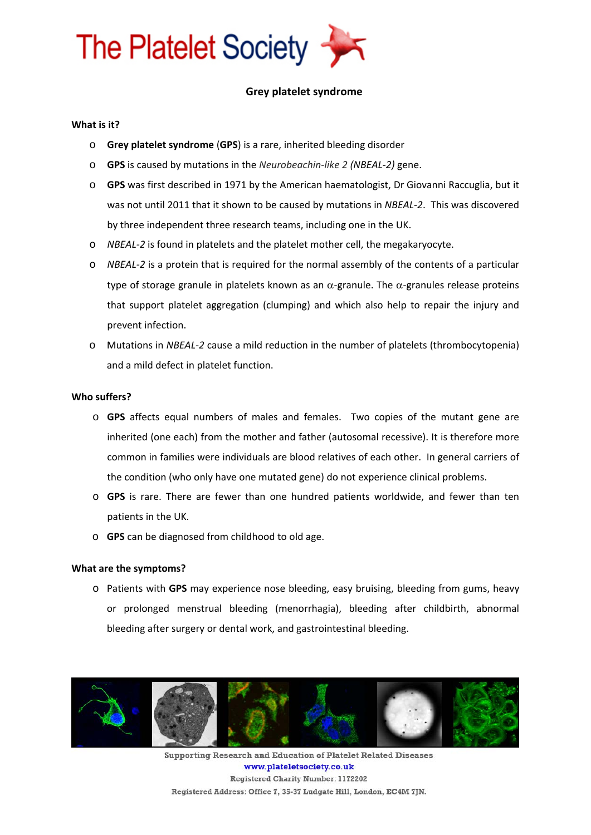

# **Grey platelet syndrome**

# **What is it?**

- o **Grey platelet syndrome** (**GPS**) is a rare, inherited bleeding disorder
- o **GPS** is caused by mutations in the *Neurobeachin‐like 2 (NBEAL‐2)* gene.
- o **GPS** was first described in 1971 by the American haematologist, Dr Giovanni Raccuglia, but it was not until 2011 that it shown to be caused by mutations in *NBEAL‐2*. This was discovered by three independent three research teams, including one in the UK.
- o *NBEAL‐2* is found in platelets and the platelet mother cell, the megakaryocyte.
- o *NBEAL‐2* is a protein that is required for the normal assembly of the contents of a particular type of storage granule in platelets known as an  $\alpha$ -granule. The  $\alpha$ -granules release proteins that support platelet aggregation (clumping) and which also help to repair the injury and prevent infection.
- o Mutations in *NBEAL‐2* cause a mild reduction in the number of platelets (thrombocytopenia) and a mild defect in platelet function.

# **Who suffers?**

- o **GPS** affects equal numbers of males and females. Two copies of the mutant gene are inherited (one each) from the mother and father (autosomal recessive). It is therefore more common in families were individuals are blood relatives of each other. In general carriers of the condition (who only have one mutated gene) do not experience clinical problems.
- o **GPS** is rare. There are fewer than one hundred patients worldwide, and fewer than ten patients in the UK.
- o **GPS** can be diagnosed from childhood to old age.

#### **What are the symptoms?**

o Patients with **GPS** may experience nose bleeding, easy bruising, bleeding from gums, heavy or prolonged menstrual bleeding (menorrhagia), bleeding after childbirth, abnormal bleeding after surgery or dental work, and gastrointestinal bleeding.



Supporting Research and Education of Platelet Related Diseases www.plateletsociety.co.uk Registered Charity Number: 1172202 Registered Address: Office 7, 35-37 Ludgate Hill, London, EC4M 7JN.